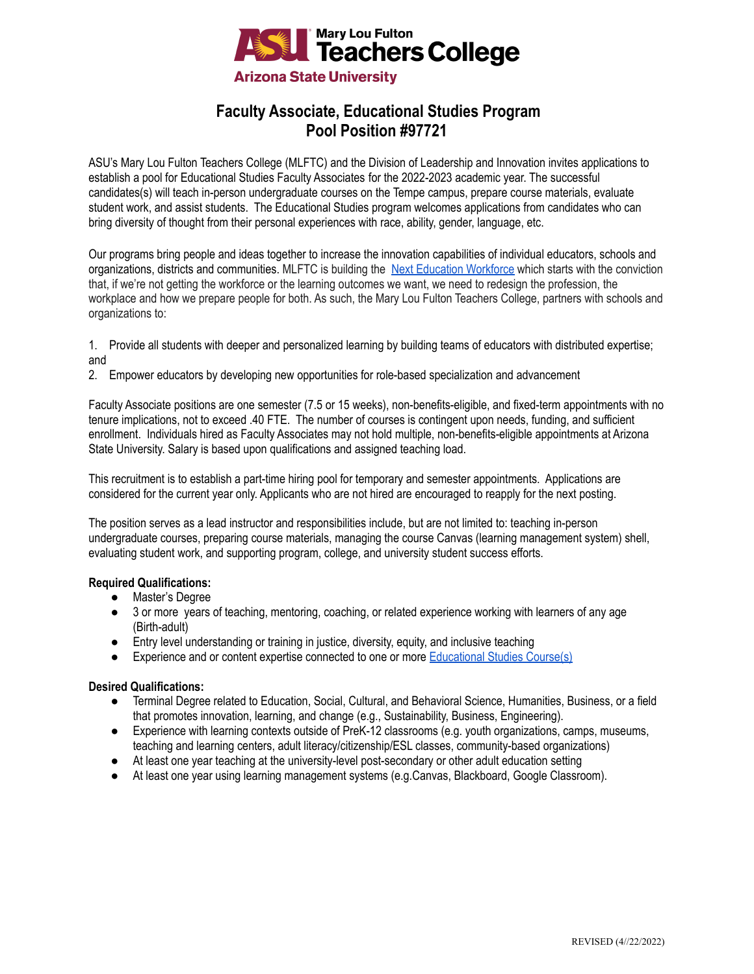

# **Faculty Associate, Educational Studies Program Pool Position #97721**

ASU's Mary Lou Fulton Teachers College (MLFTC) and the Division of Leadership and Innovation invites applications to establish a pool for Educational Studies Faculty Associates for the 2022-2023 academic year. The successful candidates(s) will teach in-person undergraduate courses on the Tempe campus, prepare course materials, evaluate student work, and assist students. The Educational Studies program welcomes applications from candidates who can bring diversity of thought from their personal experiences with race, ability, gender, language, etc.

Our programs bring people and ideas together to increase the innovation capabilities of individual educators, schools and organizations, districts and communities. MLFTC is building the [Next Education Workforce](https://workforce.education.asu.edu/?utm_source=mlftc&utm_medium=redirect&utm_campaign=top_nav) which starts with the conviction that, if we're not getting the workforce or the learning outcomes we want, we need to redesign the profession, the workplace and how we prepare people for both. As such, the Mary Lou Fulton Teachers College, partners with schools and organizations to:

1. Provide all students with deeper and personalized learning by building teams of educators with distributed expertise; and

2. Empower educators by developing new opportunities for role-based specialization and advancement

Faculty Associate positions are one semester (7.5 or 15 weeks), non-benefits-eligible, and fixed-term appointments with no tenure implications, not to exceed .40 FTE. The number of courses is contingent upon needs, funding, and sufficient enrollment. Individuals hired as Faculty Associates may not hold multiple, non-benefits-eligible appointments at Arizona State University. Salary is based upon qualifications and assigned teaching load.

This recruitment is to establish a part-time hiring pool for temporary and semester appointments. Applications are considered for the current year only. Applicants who are not hired are encouraged to reapply for the next posting.

The position serves as a lead instructor and responsibilities include, but are not limited to: teaching in-person undergraduate courses, preparing course materials, managing the course Canvas (learning management system) shell, evaluating student work, and supporting program, college, and university student success efforts.

## **Required Qualifications:**

- Master's Degree
- 3 or more years of teaching, mentoring, coaching, or related experience working with learners of any age (Birth-adult)
- Entry level understanding or training in justice, diversity, equity, and inclusive teaching
- Experience and or content expertise connected to one or more [Educational Studies Course\(s\)](https://docs.google.com/document/d/1P4gJZjG-Sb8Ag6gt9BnhZj9ajJ6SAqHgnx8xHGxF0xU/edit?usp=sharing)

## **Desired Qualifications:**

- Terminal Degree related to Education, Social, Cultural, and Behavioral Science, Humanities, Business, or a field that promotes innovation, learning, and change (e.g., Sustainability, Business, Engineering).
- Experience with learning contexts outside of PreK-12 classrooms (e.g. youth organizations, camps, museums, teaching and learning centers, adult literacy/citizenship/ESL classes, community-based organizations)
- At least one year teaching at the university-level post-secondary or other adult education setting
- At least one year using learning management systems (e.g.Canvas, Blackboard, Google Classroom).